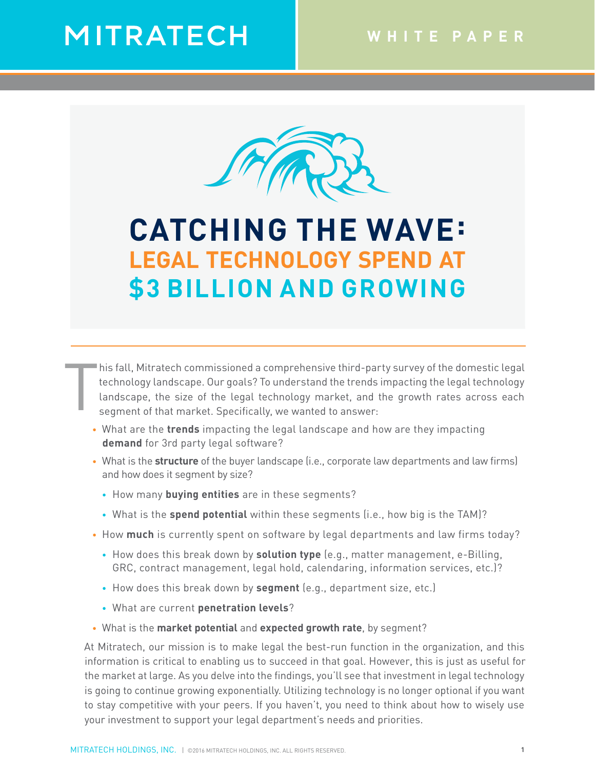# MITRATECH



CATCHING THE WAVE: LEGAL TECHNOLOGY SPEND AT \$3 BILLION AND GROWING

## **CATCHING THE WAVE: LEGAL TECHNOLOGY SPEND AT \$3 BILLION AND GROWING**

T his fall, Mitratech commissioned a comprehensive third-party survey of the domestic legal technology landscape. Our goals? To understand the trends impacting the legal technology landscape, the size of the legal technology market, and the growth rates across each segment of that market. Specifically, we wanted to answer:

- • What are the **trends** impacting the legal landscape and how are they impacting **demand** for 3rd party legal software?
- • What is the **structure** of the buyer landscape (i.e., corporate law departments and law firms) and how does it segment by size?
	- How many **buying entities** are in these segments?
	- What is the **spend potential** within these segments (i.e., how big is the TAM)?
- How much is currently spent on software by legal departments and law firms today?
	- How does this break down by **solution type** (e.g., matter management, e-Billing, GRC, contract management, legal hold, calendaring, information services, etc.)?
	- How does this break down by **segment** (e.g., department size, etc.)
	- What are current **penetration levels**?
- • What is the **market potential** and **expected growth rate**, by segment?

At Mitratech, our mission is to make legal the best-run function in the organization, and this information is critical to enabling us to succeed in that goal. However, this is just as useful for the market at large. As you delve into the findings, you'll see that investment in legal technology is going to continue growing exponentially. Utilizing technology is no longer optional if you want to stay competitive with your peers. If you haven't, you need to think about how to wisely use your investment to support your legal department's needs and priorities.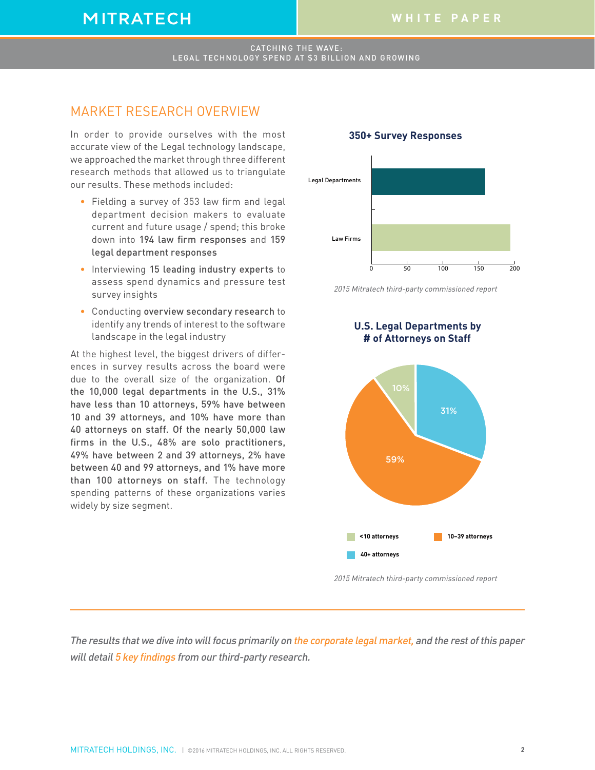## **MITRATECH**

#### CATCHING THE WAVE: LEGAL TECHNOLOGY SPEND AT \$3 BILLION AND GROWING

### MARKET RESEARCH OVERVIEW

In order to provide ourselves with the most accurate view of the Legal technology landscape, we approached the market through three different research methods that allowed us to triangulate our results. These methods included:

- Fielding a survey of 353 law firm and legal department decision makers to evaluate current and future usage / spend; this broke down into 194 law firm responses and 159 legal department responses
- Interviewing 15 leading industry experts to assess spend dynamics and pressure test survey insights
- Conducting overview secondary research to identify any trends of interest to the software landscape in the legal industry

At the highest level, the biggest drivers of differences in survey results across the board were due to the overall size of the organization. Of the 10,000 legal departments in the U.S., 31% have less than 10 attorneys, 59% have between 10 and 39 attorneys, and 10% have more than 40 attorneys on staff. Of the nearly 50,000 law firms in the U.S., 48% are solo practitioners, 49% have between 2 and 39 attorneys, 2% have between 40 and 99 attorneys, and 1% have more than 100 attorneys on staff. The technology spending patterns of these organizations varies widely by size segment.



**350+ Survey Responses**



 **U.S. Legal Departments by** 



2015 Mitratech third-party commissioned report

The results that we dive into will focus primarily on the corporate legal market, and the rest of this paper will detail 5 key findings from our third-party research.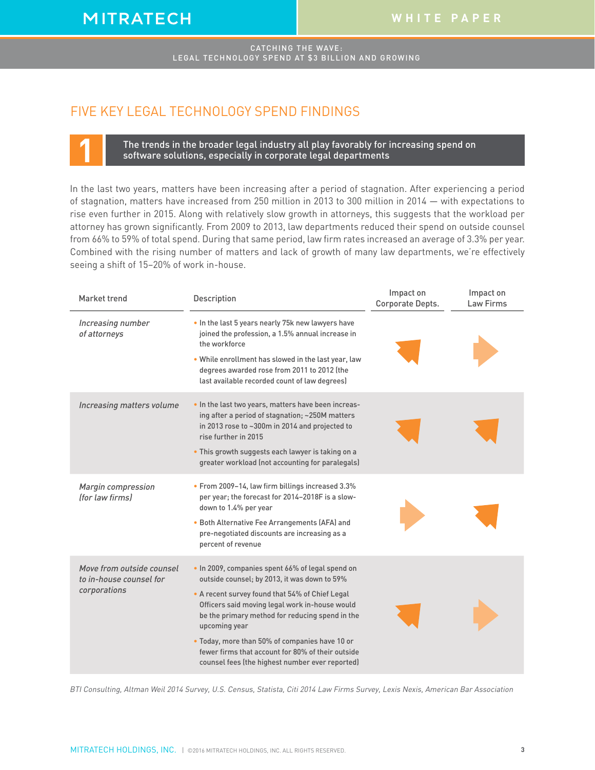### FIVE KEY LEGAL TECHNOLOGY SPEND FINDINGS

**1** The trends in the broader legal industry all play favorably for increasing spend on software solutions, especially in corporate legal departments

In the last two years, matters have been increasing after a period of stagnation. After experiencing a period of stagnation, matters have increased from 250 million in 2013 to 300 million in 2014 — with expectations to rise even further in 2015. Along with relatively slow growth in attorneys, this suggests that the workload per attorney has grown significantly. From 2009 to 2013, law departments reduced their spend on outside counsel from 66% to 59% of total spend. During that same period, law firm rates increased an average of 3.3% per year. Combined with the rising number of matters and lack of growth of many law departments, we're effectively seeing a shift of 15–20% of work in-house.

| Market trend                                                         | Description                                                                                                                                                                      | Impact on<br>Corporate Depts. | Impact on<br>Law Firms |
|----------------------------------------------------------------------|----------------------------------------------------------------------------------------------------------------------------------------------------------------------------------|-------------------------------|------------------------|
| Increasing number<br>of attorneys                                    | . In the last 5 years nearly 75k new lawyers have<br>joined the profession, a 1.5% annual increase in<br>the workforce                                                           |                               |                        |
|                                                                      | . While enrollment has slowed in the last year, law<br>degrees awarded rose from 2011 to 2012 (the<br>last available recorded count of law degrees)                              |                               |                        |
| Increasing matters volume                                            | . In the last two years, matters have been increas-<br>ing after a period of stagnation; ~250M matters<br>in 2013 rose to ~300m in 2014 and projected to<br>rise further in 2015 |                               |                        |
|                                                                      | • This growth suggests each lawyer is taking on a<br>greater workload (not accounting for paralegals)                                                                            |                               |                        |
| Margin compression<br><i>ffor law firmsl</i>                         | • From 2009-14, law firm billings increased 3.3%<br>per year; the forecast for 2014-2018F is a slow-<br>down to 1.4% per year                                                    |                               |                        |
|                                                                      | • Both Alternative Fee Arrangements (AFA) and<br>pre-negotiated discounts are increasing as a<br>percent of revenue                                                              |                               |                        |
| Move from outside counsel<br>to in-house counsel for<br>corporations | . In 2009, companies spent 66% of legal spend on<br>outside counsel; by 2013, it was down to 59%                                                                                 |                               |                        |
|                                                                      | • A recent survey found that 54% of Chief Legal<br>Officers said moving legal work in-house would<br>be the primary method for reducing spend in the<br>upcoming year            |                               |                        |
|                                                                      | . Today, more than 50% of companies have 10 or<br>fewer firms that account for 80% of their outside<br>counsel fees (the highest number ever reported)                           |                               |                        |

BTI Consulting, Altman Weil 2014 Survey, U.S. Census, Statista, Citi 2014 Law Firms Survey, Lexis Nexis, American Bar Association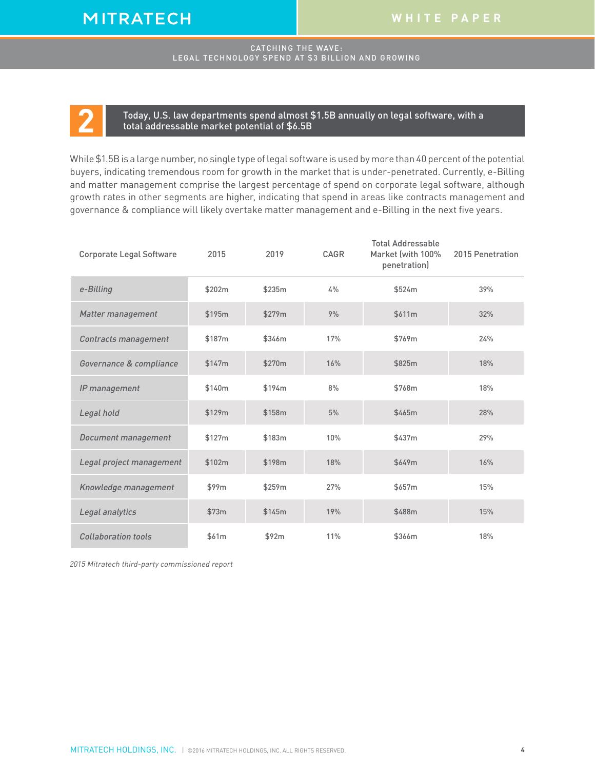**2** Today, U.S. law departments spend almost \$1.5B annually on legal software, with <sup>a</sup> total addressable market potential of \$6.5B

While \$1.5Bis a large number, no single type oflegal software is used by more than 40 percent ofthe potential buyers, indicating tremendous room for growth in the market that is under-penetrated. Currently, e-Billing and matter management comprise the largest percentage of spend on corporate legal software, although growth rates in other segments are higher, indicating that spend in areas like contracts management and governance & compliance will likely overtake matter management and e-Billing in the next five years.

| <b>Corporate Legal Software</b> | 2015   | 2019   | CAGR | <b>Total Addressable</b><br>Market (with 100%<br>penetration) | 2015 Penetration |
|---------------------------------|--------|--------|------|---------------------------------------------------------------|------------------|
| e-Billing                       | \$202m | \$235m | 4%   | \$524m                                                        | 39%              |
| Matter management               | \$195m | \$279m | 9%   | \$611m                                                        | 32%              |
| Contracts management            | \$187m | \$346m | 17%  | \$769m                                                        | 24%              |
| Governance & compliance         | \$147m | \$270m | 16%  | \$825m                                                        | 18%              |
| IP management                   | \$140m | \$194m | 8%   | \$768m                                                        | 18%              |
| Legal hold                      | \$129m | \$158m | 5%   | \$465m                                                        | 28%              |
| Document management             | \$127m | \$183m | 10%  | \$437m                                                        | 29%              |
| Legal project management        | \$102m | \$198m | 18%  | \$649m                                                        | 16%              |
| Knowledge management            | \$99m  | \$259m | 27%  | \$657m                                                        | 15%              |
| Legal analytics                 | \$73m  | \$145m | 19%  | \$488m                                                        | 15%              |
| Collaboration tools             | \$61m  | \$92m  | 11%  | \$366m                                                        | 18%              |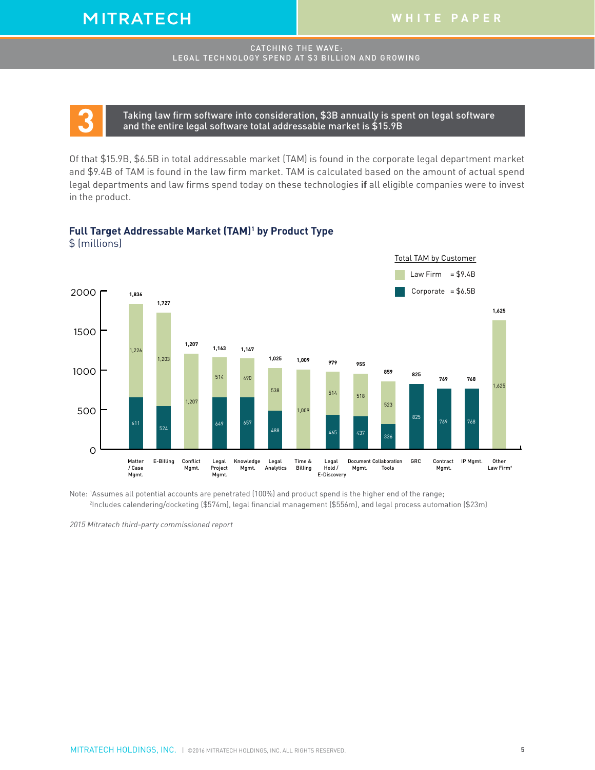**3** Taking law firm software into consideration, \$3B annually is spent on legal software and the entire legal software total addressable market is \$15.9B

Of that \$15.9B, \$6.5B in total addressable market (TAM) is found in the corporate legal department market and \$9.4B of TAM is found in the law firm market. TAM is calculated based on the amount of actual spend legal departments and law firms spend today on these technologies **if** all eligible companies were to invest in the product.

## **Full Target Addressable Market (TAM)1 by Product Type Full Target Addressable Market (TAM)1 by Product Type**



Note: <sup>1</sup> Assumes all potential accounts are penetrated (100%) and product spend is the higher end of the range; 2 Includes calendering/docketing (\$574m), legal financial management (\$556m), and legal process automation (\$23m)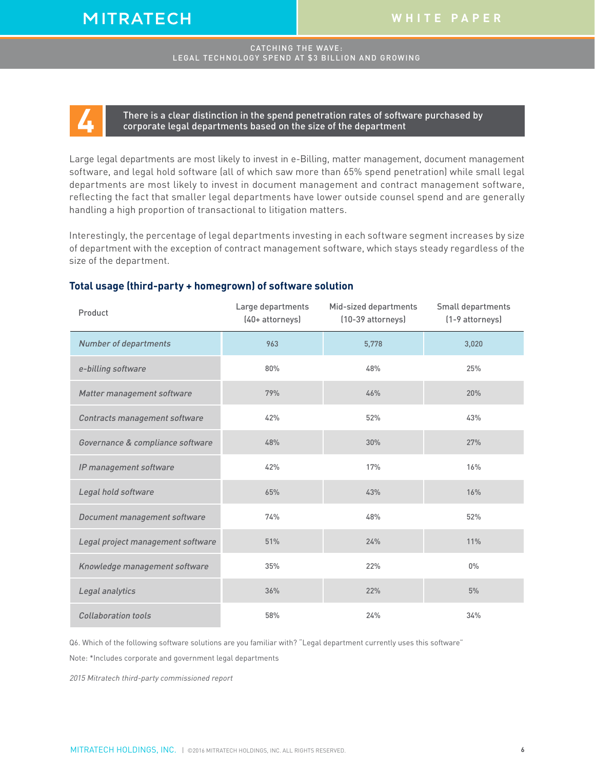**4** There is <sup>a</sup> clear distinction in the spend penetration rates of software purchased by corporate legal departments based on the size of the department

Large legal departments are most likely to invest in e-Billing, matter management, document management software, and legal hold software (all of which saw more than 65% spend penetration) while small legal departments are most likely to invest in document management and contract management software, reflecting the fact that smaller legal departments have lower outside counsel spend and are generally handling a high proportion of transactional to litigation matters.

Interestingly, the percentage of legal departments investing in each software segment increases by size of department with the exception of contract management software, which stays steady regardless of the size of the department.

#### **Total usage (third-party + homegrown) of software solution**

| Product                           | Large departments<br>(40+ attorneys) | Mid-sized departments<br>(10-39 attorneys) | Small departments<br>(1-9 attorneys) |
|-----------------------------------|--------------------------------------|--------------------------------------------|--------------------------------------|
| <b>Number of departments</b>      | 963                                  | 5,778                                      | 3,020                                |
| e-billing software                | 80%                                  | 48%                                        | 25%                                  |
| Matter management software        | 79%                                  | 46%                                        | 20%                                  |
| Contracts management software     | 42%                                  | 52%                                        | 43%                                  |
| Governance & compliance software  | 48%                                  | 30%                                        | 27%                                  |
| IP management software            | 42%                                  | 17%                                        | 16%                                  |
| Legal hold software               | 65%                                  | 43%                                        | 16%                                  |
| Document management software      | 74%                                  | 48%                                        | 52%                                  |
| Legal project management software | 51%                                  | 24%                                        | 11%                                  |
| Knowledge management software     | 35%                                  | 22%                                        | $0\%$                                |
| Legal analytics                   | 36%                                  | 22%                                        | 5%                                   |
| <b>Collaboration tools</b>        | 58%                                  | 24%                                        | 34%                                  |

Q6. Which of the following software solutions are you familiar with? "Legal department currently uses this software"

Note: \*Includes corporate and government legal departments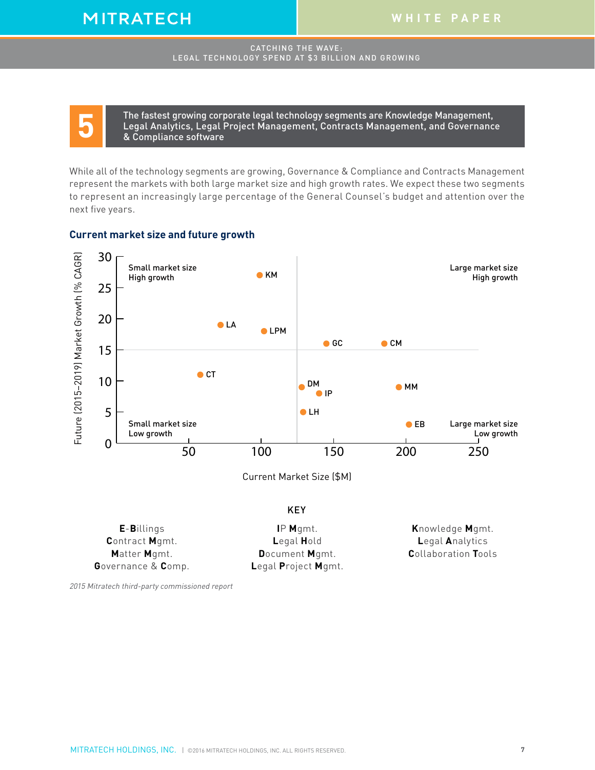The fastest growing corporate legal technology segments are Knowledge Management,<br>Legal Analytics, Legal Project Management, Contracts Management, and Governanc<br>& Compliance software Legal Analytics, Legal Project Management, Contracts Management, and Governance & Compliance software

While all of the technology segments are growing, Governance & Compliance and Contracts Management represent the markets with both large market size and high growth rates. We expect these two segments to represent an increasingly large percentage of the General Counsel's budget and attention over the next five years.

#### **Current market size and future growth**



#### KEY

| <b>E-Billings</b>     | $IP$ Mgmt.          | Knowledge Mgmt.            |
|-----------------------|---------------------|----------------------------|
| <b>Contract Mgmt.</b> | Legal <b>H</b> old  | <b>Legal Analytics</b>     |
| Matter Mgmt.          | Document Mgmt.      | <b>Collaboration Tools</b> |
| Governance & Comp.    | Legal Project Mgmt. |                            |